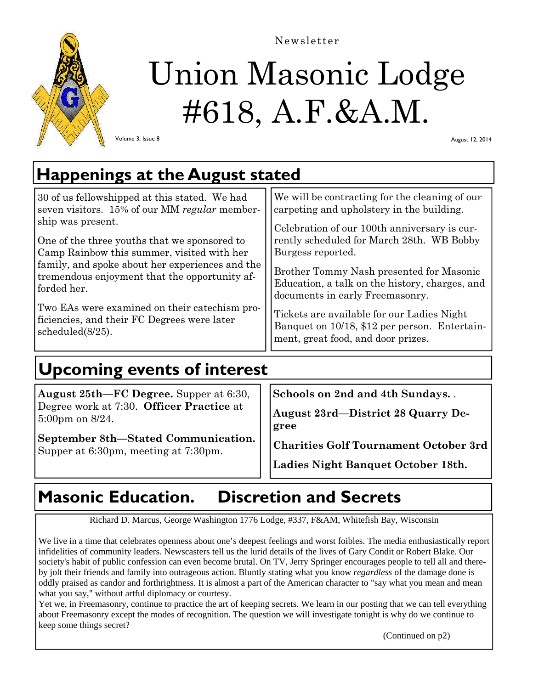

# Union Masonic Lodge #618, A.F.&A.M. Newsletter

Volume 3, Issue 8

August 12, 2014

# **Happenings at the August stated**

| 30 of us fellowshipped at this stated. We had                                                                    | We will be contracting for the cleaning of our                                                                                    |
|------------------------------------------------------------------------------------------------------------------|-----------------------------------------------------------------------------------------------------------------------------------|
| seven visitors. 15% of our MM regular member-                                                                    | carpeting and upholstery in the building.                                                                                         |
| ship was present.                                                                                                | Celebration of our 100th anniversary is cur-                                                                                      |
| One of the three youths that we sponsored to                                                                     | rently scheduled for March 28th. WB Bobby                                                                                         |
| Camp Rainbow this summer, visited with her                                                                       | Burgess reported.                                                                                                                 |
| family, and spoke about her experiences and the<br>tremendous enjoyment that the opportunity af-<br>forded her.  | Brother Tommy Nash presented for Masonic<br>Education, a talk on the history, charges, and<br>documents in early Freemasonry.     |
| Two EAs were examined on their catechism pro-<br>ficiencies, and their FC Degrees were later<br>scheduled(8/25). | Tickets are available for our Ladies Night<br>Banquet on 10/18, \$12 per person. Entertain-<br>ment, great food, and door prizes. |

# **Upcoming events of interest**

| August 25th—FC Degree. Supper at 6:30,                                      |  | Schools on 2nd and         |
|-----------------------------------------------------------------------------|--|----------------------------|
| Degree work at 7:30. Officer Practice at<br>$5:00 \text{pm}$ on $8/24$ .    |  | August 23rd-Distr<br>gree  |
| September 8th–Stated Communication.<br>Supper at 6:30pm, meeting at 7:30pm. |  | <b>Charities Golf Tour</b> |

**Schools on 2nd and 4th Sundays.** .

**August 28 Quarry De-**

**Charities Golf Tournament October 3rd**

**Ladies Night Banquet October 18th.** 

### **Masonic Education. Discretion and Secrets**

Richard D. Marcus, George Washington 1776 Lodge, #337, F&AM, Whitefish Bay, Wisconsin

We live in a time that celebrates openness about one's deepest feelings and worst foibles. The media enthusiastically report infidelities of community leaders. Newscasters tell us the lurid details of the lives of Gary Condit or Robert Blake. Our society's habit of public confession can even become brutal. On TV, Jerry Springer encourages people to tell all and thereby jolt their friends and family into outrageous action. Bluntly stating what you know *regardless* of the damage done is oddly praised as candor and forthrightness. It is almost a part of the American character to "say what you mean and mean what you say," without artful diplomacy or courtesy.

Yet we, in Freemasonry, continue to practice the art of keeping secrets. We learn in our posting that we can tell everything about Freemasonry except the modes of recognition. The question we will investigate tonight is why do we continue to keep some things secret?

(Continued on p2)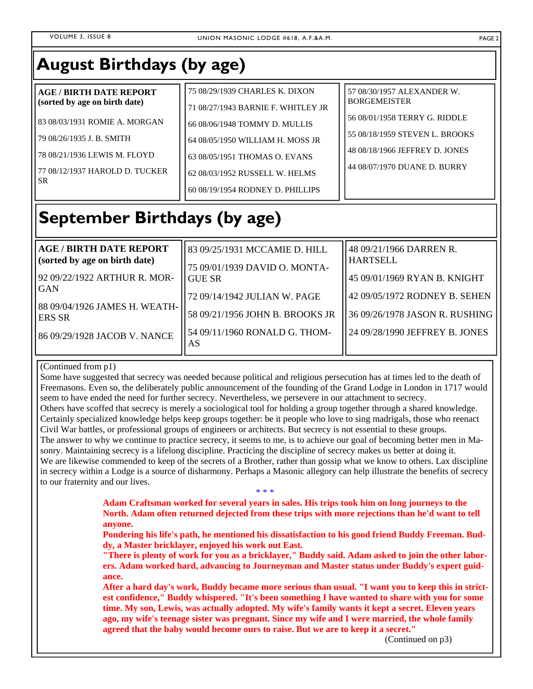| <b>AGE/BIRTH DATE REPORT</b>                                                                                                        | 75 08/29/1939 CHARLES K. DIXON                                                                                                                                           | 57 08/30/1957 ALEXANDER W.                                                                                                        |
|-------------------------------------------------------------------------------------------------------------------------------------|--------------------------------------------------------------------------------------------------------------------------------------------------------------------------|-----------------------------------------------------------------------------------------------------------------------------------|
| (sorted by age on birth date)                                                                                                       | 71 08/27/1943 BARNIE F. WHITLEY JR                                                                                                                                       | <b>BORGEMEISTER</b>                                                                                                               |
| 83 08/03/1931 ROMIE A. MORGAN<br>79 08/26/1935 J. B. SMITH<br>78 08/21/1936 LEWIS M. FLOYD<br>77 08/12/1937 HAROLD D. TUCKER<br>SR. | 66 08/06/1948 TOMMY D. MULLIS<br>64 08/05/1950 WILLIAM H. MOSS JR<br>63 08/05/1951 THOMAS O. EVANS<br>62 08/03/1952 RUSSELL W. HELMS<br>60 08/19/1954 RODNEY D. PHILLIPS | 56 08/01/1958 TERRY G. RIDDLE<br>55 08/18/1959 STEVEN L. BROOKS<br>48 08/18/1966 JEFFREY D. JONES<br>44 08/07/1970 DUANE D. BURRY |

### **September Birthdays (by age)**

| <b>AGE / BIRTH DATE REPORT</b><br>(sorted by age on birth date)<br>92 09/22/1922 ARTHUR R. MOR-<br><b>GAN</b><br>88 09/04/1926 JAMES H. WEATH-<br><b>ERS SR</b> | 83 09/25/1931 MCCAMIE D. HILL<br>75 09/01/1939 DAVID O. MONTA-<br>ll GUE SR<br>72 09/14/1942 JULIAN W. PAGE<br>58 09/21/1956 JOHN B. BROOKS JR | 48 09/21/1966 DARREN R.<br><b>HARTSELL</b><br>45 09/01/1969 RYAN B. KNIGHT<br>142 09/05/1972 RODNEY B. SEHEN<br>   36 09/26/1978 JASON R. RUSHING |
|-----------------------------------------------------------------------------------------------------------------------------------------------------------------|------------------------------------------------------------------------------------------------------------------------------------------------|---------------------------------------------------------------------------------------------------------------------------------------------------|
| 86 09/29/1928 JACOB V. NANCE                                                                                                                                    | 54 09/11/1960 RONALD G. THOM-<br>AS                                                                                                            | 124 09/28/1990 JEFFREY B. JONES                                                                                                                   |

### (Continued from p1)

Some have suggested that secrecy was needed because political and religious persecution has at times led to the death of Freemasons. Even so, the deliberately public announcement of the founding of the Grand Lodge in London in 1717 would seem to have ended the need for further secrecy. Nevertheless, we persevere in our attachment to secrecy.

Others have scoffed that secrecy is merely a sociological tool for holding a group together through a shared knowledge. Certainly specialized knowledge helps keep groups together: be it people who love to sing madrigals, those who reenact Civil War battles, or professional groups of engineers or architects. But secrecy is not essential to these groups. The answer to why we continue to practice secrecy, it seems to me, is to achieve our goal of becoming better men in Masonry. Maintaining secrecy is a lifelong discipline. Practicing the discipline of secrecy makes us better at doing it. We are likewise commended to keep of the secrets of a Brother, rather than gossip what we know to others. Lax discipline in secrecy within a Lodge is a source of disharmony. Perhaps a Masonic allegory can help illustrate the benefits of secrecy to our fraternity and our lives. \* \* \*

> **Adam Craftsman worked for several years in sales. His trips took him on long journeys to the North. Adam often returned dejected from these trips with more rejections than he'd want to tell anyone.**

**Pondering his life's path, he mentioned his dissatisfaction to his good friend Buddy Freeman. Buddy, a Master bricklayer, enjoyed his work out East.** 

**"There is plenty of work for you as a bricklayer," Buddy said. Adam asked to join the other laborers. Adam worked hard, advancing to Journeyman and Master status under Buddy's expert guidance.** 

**After a hard day's work, Buddy became more serious than usual. "I want you to keep this in strictest confidence," Buddy whispered. "It's been something I have wanted to share with you for some time. My son, Lewis, was actually adopted. My wife's family wants it kept a secret. Eleven years ago, my wife's teenage sister was pregnant. Since my wife and I were married, the whole family agreed that the baby would become ours to raise. But we are to keep it a secret."** 

(Continued on p3)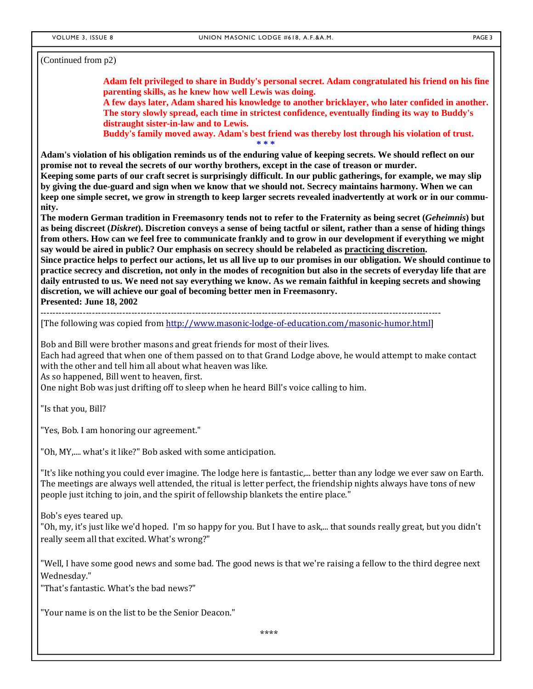(Continued from p2)

**Adam felt privileged to share in Buddy's personal secret. Adam congratulated his friend on his fine parenting skills, as he knew how well Lewis was doing.** 

**A few days later, Adam shared his knowledge to another bricklayer, who later confided in another. The story slowly spread, each time in strictest confidence, eventually finding its way to Buddy's distraught sister-in-law and to Lewis.** 

**Buddy's family moved away. Adam's best friend was thereby lost through his violation of trust. \* \* \*** 

**Adam's violation of his obligation reminds us of the enduring value of keeping secrets. We should reflect on our promise not to reveal the secrets of our worthy brothers, except in the case of treason or murder. Keeping some parts of our craft secret is surprisingly difficult. In our public gatherings, for example, we may slip by giving the due-guard and sign when we know that we should not. Secrecy maintains harmony. When we can** 

**keep one simple secret, we grow in strength to keep larger secrets revealed inadvertently at work or in our community.** 

**The modern German tradition in Freemasonry tends not to refer to the Fraternity as being secret (***Geheimnis***) but as being discreet (***Diskret***). Discretion conveys a sense of being tactful or silent, rather than a sense of hiding things from others. How can we feel free to communicate frankly and to grow in our development if everything we might say would be aired in public? Our emphasis on secrecy should be relabeled as practicing discretion. Since practice helps to perfect our actions, let us all live up to our promises in our obligation. We should continue to practice secrecy and discretion, not only in the modes of recognition but also in the secrets of everyday life that are daily entrusted to us. We need not say everything we know. As we remain faithful in keeping secrets and showing** 

**discretion, we will achieve our goal of becoming better men in Freemasonry.** 

**Presented: June 18, 2002** 

‐‐‐‐‐‐‐‐‐‐‐‐‐‐‐‐‐‐‐‐‐‐‐‐‐‐‐‐‐‐‐‐‐‐‐‐‐‐‐‐‐‐‐‐‐‐‐‐‐‐‐‐‐‐‐‐‐‐‐‐‐‐‐‐‐‐‐‐‐‐‐‐‐‐‐‐‐‐‐‐‐‐‐‐‐‐‐‐‐‐‐‐‐‐‐‐‐‐‐‐‐‐‐‐‐‐‐‐‐‐‐‐‐‐‐‐‐‐‐‐‐‐‐‐‐‐‐‐‐‐‐‐ 

[The following was copied from http://www.masonic-lodge-of-education.com/masonic-humor.html]

Bob and Bill were brother masons and great friends for most of their lives.

Each had agreed that when one of them passed on to that Grand Lodge above, he would attempt to make contact with the other and tell him all about what heaven was like.

As so happened, Bill went to heaven, first.

One night Bob was just drifting off to sleep when he heard Bill's voice calling to him.

"Is that you, Bill?

"Yes, Bob. I am honoring our agreement."

"Oh, MY,.... what's it like?" Bob asked with some anticipation.

"It's like nothing you could ever imagine. The lodge here is fantastic,... better than any lodge we ever saw on Earth. The meetings are always well attended, the ritual is letter perfect, the friendship nights always have tons of new people just itching to join, and the spirit of fellowship blankets the entire place."

Bob's eyes teared up.

"Oh, my, it's just like we'd hoped. I'm so happy for you. But I have to ask,... that sounds really great, but you didn't really seem all that excited. What's wrong?"

"Well, I have some good news and some bad. The good news is that we're raising a fellow to the third degree next Wednesday." 

"That's fantastic. What's the bad news?"

"Your name is on the list to be the Senior Deacon."